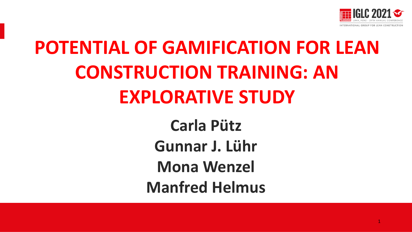

## **POTENTIAL OF GAMIFICATION FOR LEAN CONSTRUCTION TRAINING: AN EXPLORATIVE STUDY**

**Carla Pütz Gunnar J. Lühr Mona Wenzel Manfred Helmus**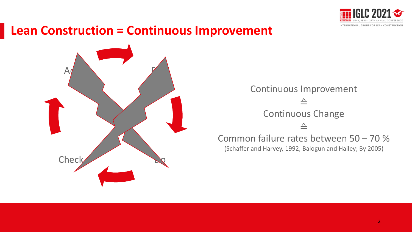

#### **Lean Construction = Continuous Improvement**



Continuous Improvement ≙ Continuous Change ≙ Common failure rates between 50 – 70 %

(Schaffer and Harvey, 1992, Balogun and Hailey; By 2005)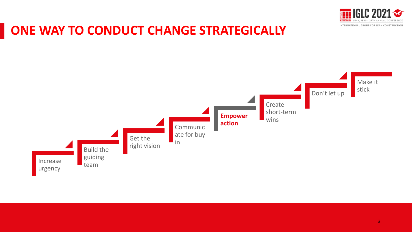

#### **ONE WAY TO CONDUCT CHANGE STRATEGICALLY**

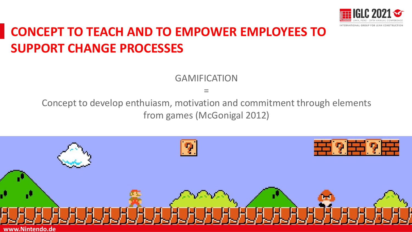

## **CONCEPT TO TEACH AND TO EMPOWER EMPLOYEES TO SUPPORT CHANGE PROCESSES**

GAMIFICATION

=

Concept to develop enthuiasm, motivation and commitment through elements from games (McGonigal 2012)

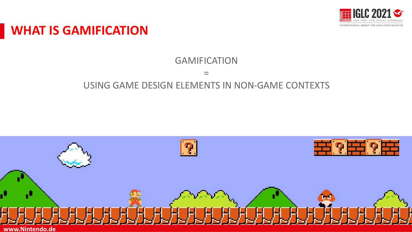

#### **WHAT IS GAMIFICATION**

#### GAMIFICATION

 $\frac{1}{2}$ 

#### USING GAME DESIGN ELEMENTS IN NON-GAME CONTEXTS

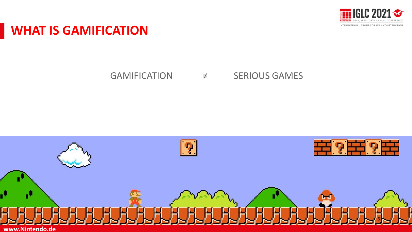

#### **WHAT IS GAMIFICATION**

#### GAMIFICATION ≠ SERIOUS GAMES

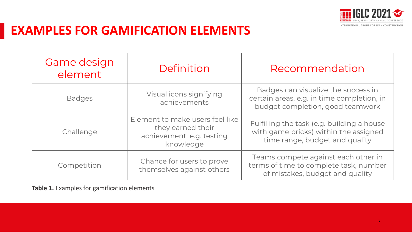

### **EXAMPLES FOR GAMIFICATION ELEMENTS**

| Game design<br>element | Definition                                                                                     | Recommendation                                                                                                        |
|------------------------|------------------------------------------------------------------------------------------------|-----------------------------------------------------------------------------------------------------------------------|
| <b>Badges</b>          | Visual icons signifying<br>achievements                                                        | Badges can visualize the success in<br>certain areas, e.g. in time completion, in<br>budget completion, good teamwork |
| Challenge              | Element to make users feel like<br>they earned their<br>achievement, e.g. testing<br>knowledge | Fulfilling the task (e.g. building a house<br>with game bricks) within the assigned<br>time range, budget and quality |
| Competition            | Chance for users to prove<br>themselves against others                                         | Teams compete against each other in<br>terms of time to complete task, number<br>of mistakes, budget and quality      |

**Table 1.** Examples for gamification elements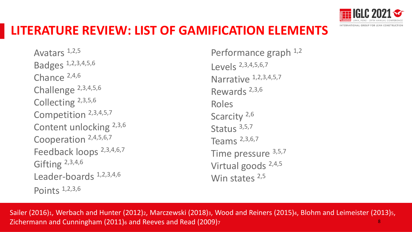

#### **LITERATURE REVIEW: LIST OF GAMIFICATION ELEMENTS**

Avatars 1,2,5 Badges 1,2,3,4,5,6 Chance 2,4,6 Challenge 2,3,4,5,6 Collecting 2,3,5,6 Competition 2,3,4,5,7 Content unlocking 2,3,6 Cooperation 2,4,5,6,7 Feedback loops 2,3,4,6,7 Gifting 2,3,4,6 Leader-boards 1,2,3,4,6 Points 1,2,3,6

Performance graph  $1,2$ Levels 2,3,4,5,6,7 Narrative 1,2,3,4,5,7 Rewards 2,3,6 Roles Scarcity<sup>2,6</sup> Status 3,5,7 Teams 2,3,6,7 Time pressure 3,5,7 Virtual goods 2,4,5 Win states 2,5

Sailer (2016)<sub>1</sub>, Werbach and Hunter (2012)<sub>2</sub>, Marczewski (2018)<sub>3</sub>, Wood and Reiners (2015)<sub>4</sub>, Blohm and Leimeister (2013)<sub>5</sub>, Zichermann and Cunningham (2011)<sup>6</sup> and Reeves and Read (2009)<sup>7</sup> 8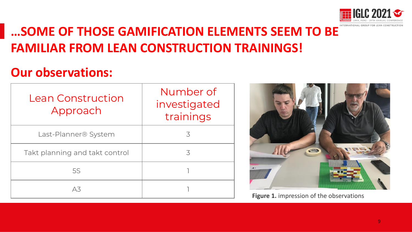

### **…SOME OF THOSE GAMIFICATION ELEMENTS SEEM TO BE FAMILIAR FROM LEAN CONSTRUCTION TRAININGS!**

#### **Our observations:**

| Lean Construction<br>Approach    | Number of<br>investigated<br>trainings |
|----------------------------------|----------------------------------------|
| Last-Planner <sup>®</sup> System | 3                                      |
| Takt planning and takt control   | 3                                      |
| <b>5S</b>                        |                                        |
| Δ3                               |                                        |



**Figure 1.** impression of the observations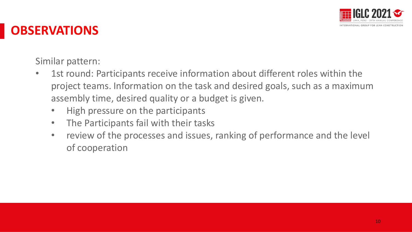

#### **OBSERVATIONS**

Similar pattern:

- 1st round: Participants receive information about different roles within the project teams. Information on the task and desired goals, such as a maximum assembly time, desired quality or a budget is given.
	- High pressure on the participants
	- The Participants fail with their tasks
	- review of the processes and issues, ranking of performance and the level of cooperation Presentación Presentación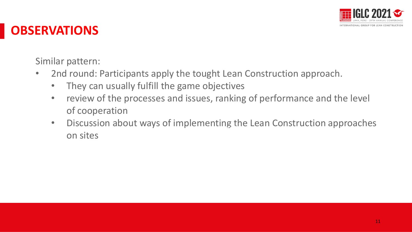

#### **OBSERVATIONS**

Similar pattern:

- 2nd round: Participants apply the tought Lean Construction approach.
	- They can usually fulfill the game objectives
	- review of the processes and issues, ranking of performance and the level of cooperation
	- Discussion about ways of implementing the Lean Construction approaches on sites Presidente Leuri Construction upproudites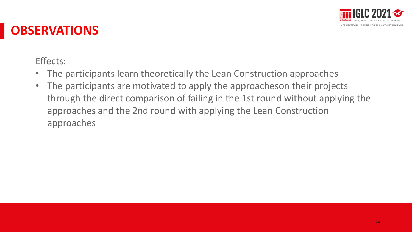

#### **OBSERVATIONS**

Effects:

- The participants learn theoretically the Lean Construction approaches
- The participants are motivated to apply the approacheson their projects through the direct comparison of failing in the 1st round without applying the approaches and the 2nd round with applying the Lean Construction approaches Presentación Presentación Presentación Presentación Presentación Presentación Presentación Presenta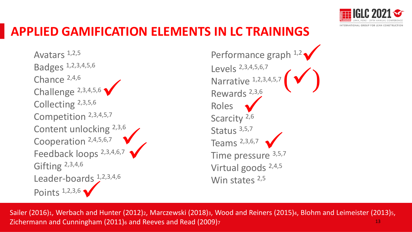

### **APPLIED GAMIFICATION ELEMENTS IN LC TRAININGS**

Avatars 1,2,5 Badges 1,2,3,4,5,6 Chance 2,4,6 Challenge 2,3,4,5,6 Collecting 2,3,5,6 Competition 2,3,4,5,7 Content unlocking 2,3,6 Cooperation 2,4,5,6,7 Feedback loops 2,3,4,6,7 Gifting 2,3,4,6 Leader-boards  $1,2,3,4,6$ Points 1,2,3,6 ✓  $\frac{1}{2}$ ✓

Performance graph 1,2 Levels 2,3,4,5,6,7 Narrative 1,2,3,4,5,7 Rewards 2,3,6 Roles Scarcity<sup>2,6</sup> Status 3,5,7 Teams 2,3,6,7 Time pressure 3,5,7 Virtual goods 2,4,5 Win states 2,5  $\frac{1}{2,6}$  $\frac{1}{2}$  $(\checkmark)$ ✓

Sailer (2016)<sub>1</sub>, Werbach and Hunter (2012)<sub>2</sub>, Marczewski (2018)<sub>3</sub>, Wood and Reiners (2015)<sub>4</sub>, Blohm and Leimeister (2013)<sub>5</sub>, Zichermann and Cunningham (2011)<sup>6</sup> and Reeves and Read (2009)<sup>7</sup> 13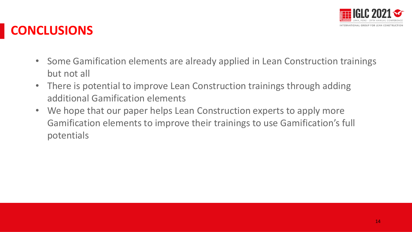

### **CONCLUSIONS**

- Some Gamification elements are already applied in Lean Construction trainings but not all
- There is potential to improve Lean Construction trainings through adding additional Gamification elements
- We hope that our paper helps Lean Construction experts to apply more Gamification elements to improve their trainings to use Gamification's full potentials Presentación Presentación Presentación Presentación Presentación Presentación Presentación Presentación Present